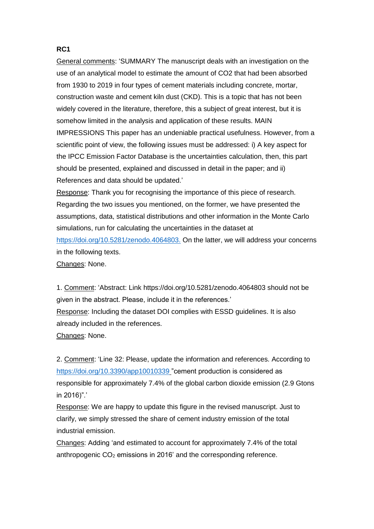## **RC1**

General comments: 'SUMMARY The manuscript deals with an investigation on the use of an analytical model to estimate the amount of CO2 that had been absorbed from 1930 to 2019 in four types of cement materials including concrete, mortar, construction waste and cement kiln dust (CKD). This is a topic that has not been widely covered in the literature, therefore, this a subject of great interest, but it is somehow limited in the analysis and application of these results. MAIN IMPRESSIONS This paper has an undeniable practical usefulness. However, from a scientific point of view, the following issues must be addressed: i) A key aspect for the IPCC Emission Factor Database is the uncertainties calculation, then, this part should be presented, explained and discussed in detail in the paper; and ii) References and data should be updated.'

Response: Thank you for recognising the importance of this piece of research. Regarding the two issues you mentioned, on the former, we have presented the assumptions, data, statistical distributions and other information in the Monte Carlo simulations, run for calculating the uncertainties in the dataset at <https://doi.org/10.5281/zenodo.4064803.> On the latter, we will address your concerns in the following texts. Changes: None.

1. Comment: 'Abstract: Link https://doi.org/10.5281/zenodo.4064803 should not be given in the abstract. Please, include it in the references.' Response: Including the dataset DOI complies with ESSD guidelines. It is also already included in the references. Changes: None.

2. Comment: 'Line 32: Please, update the information and references. According to <https://doi.org/10.3390/app10010339> "cement production is considered as responsible for approximately 7.4% of the global carbon dioxide emission (2.9 Gtons in 2016)".'

Response: We are happy to update this figure in the revised manuscript. Just to clarify, we simply stressed the share of cement industry emission of the total industrial emission.

Changes: Adding 'and estimated to account for approximately 7.4% of the total anthropogenic  $CO<sub>2</sub>$  emissions in 2016' and the corresponding reference.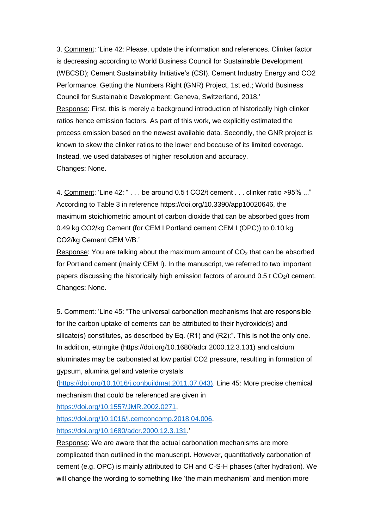3. Comment: 'Line 42: Please, update the information and references. Clinker factor is decreasing according to World Business Council for Sustainable Development (WBCSD); Cement Sustainability Initiative's (CSI). Cement Industry Energy and CO2 Performance. Getting the Numbers Right (GNR) Project, 1st ed.; World Business Council for Sustainable Development: Geneva, Switzerland, 2018.' Response: First, this is merely a background introduction of historically high clinker ratios hence emission factors. As part of this work, we explicitly estimated the process emission based on the newest available data. Secondly, the GNR project is known to skew the clinker ratios to the lower end because of its limited coverage. Instead, we used databases of higher resolution and accuracy. Changes: None.

4. Comment: 'Line 42: " . . . be around 0.5 t CO2/t cement . . . clinker ratio >95% ..." According to Table 3 in reference https://doi.org/10.3390/app10020646, the maximum stoichiometric amount of carbon dioxide that can be absorbed goes from 0.49 kg CO2/kg Cement (for CEM I Portland cement CEM I (OPC)) to 0.10 kg CO2/kg Cement CEM V/B.'

Response: You are talking about the maximum amount of  $CO<sub>2</sub>$  that can be absorbed for Portland cement (mainly CEM I). In the manuscript, we referred to two important papers discussing the historically high emission factors of around  $0.5$  t CO<sub>2</sub>/t cement. Changes: None.

5. Comment: 'Line 45: "The universal carbonation mechanisms that are responsible for the carbon uptake of cements can be attributed to their hydroxide(s) and silicate(s) constitutes, as described by Eq. (R1) and (R2):". This is not the only one. In addition, ettringite (https://doi.org/10.1680/adcr.2000.12.3.131) and calcium aluminates may be carbonated at low partial CO2 pressure, resulting in formation of gypsum, alumina gel and vaterite crystals

[\(https://doi.org/10.1016/j.conbuildmat.2011.07.043\).](https://doi.org/10.1016/j.conbuildmat.2011.07.043)) Line 45: More precise chemical mechanism that could be referenced are given in

[https://doi.org/10.1557/JMR.2002.0271,](https://doi.org/10.1557/JMR.2002.0271)

[https://doi.org/10.1016/j.cemconcomp.2018.04.006,](https://doi.org/10.1016/j.cemconcomp.2018.04.006)

[https://doi.org/10.1680/adcr.2000.12.3.131.](https://doi.org/10.1680/adcr.2000.12.3.131)

Response: We are aware that the actual carbonation mechanisms are more complicated than outlined in the manuscript. However, quantitatively carbonation of cement (e.g. OPC) is mainly attributed to CH and C-S-H phases (after hydration). We will change the wording to something like 'the main mechanism' and mention more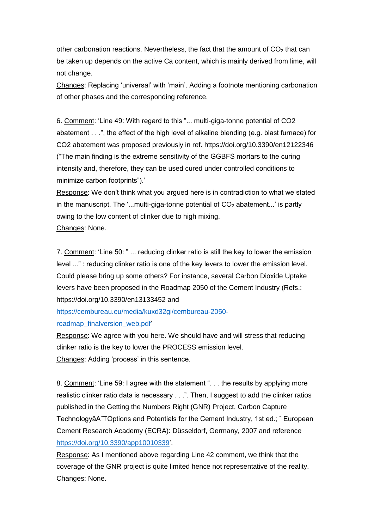other carbonation reactions. Nevertheless, the fact that the amount of  $CO<sub>2</sub>$  that can be taken up depends on the active Ca content, which is mainly derived from lime, will not change.

Changes: Replacing 'universal' with 'main'. Adding a footnote mentioning carbonation of other phases and the corresponding reference.

6. Comment: 'Line 49: With regard to this "... multi-giga-tonne potential of CO2 abatement . . .", the effect of the high level of alkaline blending (e.g. blast furnace) for CO2 abatement was proposed previously in ref. https://doi.org/10.3390/en12122346 ("The main finding is the extreme sensitivity of the GGBFS mortars to the curing intensity and, therefore, they can be used cured under controlled conditions to minimize carbon footprints").'

Response: We don't think what you argued here is in contradiction to what we stated in the manuscript. The '...multi-giga-tonne potential of  $CO<sub>2</sub>$  abatement...' is partly owing to the low content of clinker due to high mixing.

Changes: None.

7. Comment: 'Line 50: " ... reducing clinker ratio is still the key to lower the emission level ..." : reducing clinker ratio is one of the key levers to lower the emission level. Could please bring up some others? For instance, several Carbon Dioxide Uptake levers have been proposed in the Roadmap 2050 of the Cement Industry (Refs.: https://doi.org/10.3390/en13133452 and

[https://cembureau.eu/media/kuxd32gi/cembureau-2050](https://cembureau.eu/media/kuxd32gi/cembureau-2050-roadmap_finalversion_web.pdf) [roadmap\\_finalversion\\_web.pdf'](https://cembureau.eu/media/kuxd32gi/cembureau-2050-roadmap_finalversion_web.pdf)

Response: We agree with you here. We should have and will stress that reducing clinker ratio is the key to lower the PROCESS emission level. Changes: Adding 'process' in this sentence.

8. Comment: 'Line 59: I agree with the statement ". . . the results by applying more realistic clinker ratio data is necessary . . .". Then, I suggest to add the clinker ratios published in the Getting the Numbers Right (GNR) Project, Carbon Capture TechnologyâA˘TOptions and Potentials for the Cement Industry, 1st ed.; ˇ European Cement Research Academy (ECRA): Düsseldorf, Germany, 2007 and reference [https://doi.org/10.3390/app10010339'](https://doi.org/10.3390/app10010339).

Response: As I mentioned above regarding Line 42 comment, we think that the coverage of the GNR project is quite limited hence not representative of the reality. Changes: None.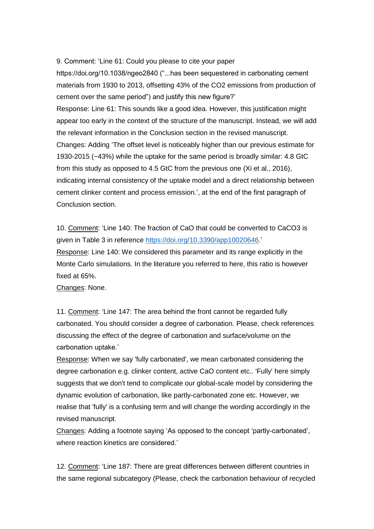9. Comment: 'Line 61: Could you please to cite your paper

https://doi.org/10.1038/ngeo2840 ("...has been sequestered in carbonating cement materials from 1930 to 2013, offsetting 43% of the CO2 emissions from production of cement over the same period") and justify this new figure?'

Response: Line 61: This sounds like a good idea. However, this justification might appear too early in the context of the structure of the manuscript. Instead, we will add the relevant information in the Conclusion section in the revised manuscript. Changes: Adding 'The offset level is noticeably higher than our previous estimate for 1930-2015 (~43%) while the uptake for the same period is broadly similar: 4.8 GtC from this study as opposed to 4.5 GtC from the previous one (Xi et al., 2016), indicating internal consistency of the uptake model and a direct relationship between cement clinker content and process emission.', at the end of the first paragraph of Conclusion section.

10. Comment: 'Line 140: The fraction of CaO that could be converted to CaCO3 is given in Table 3 in reference [https://doi.org/10.3390/app10020646.](https://doi.org/10.3390/app10020646)' Response: Line 140: We considered this parameter and its range explicitly in the Monte Carlo simulations. In the literature you referred to here, this ratio is however fixed at 65%.

Changes: None.

11. Comment: 'Line 147: The area behind the front cannot be regarded fully carbonated. You should consider a degree of carbonation. Please, check references discussing the effect of the degree of carbonation and surface/volume on the carbonation uptake.'

Response: When we say 'fully carbonated', we mean carbonated considering the degree carbonation e.g. clinker content, active CaO content etc.. 'Fully' here simply suggests that we don't tend to complicate our global-scale model by considering the dynamic evolution of carbonation, like partly-carbonated zone etc. However, we realise that 'fully' is a confusing term and will change the wording accordingly in the revised manuscript.

Changes: Adding a footnote saying 'As opposed to the concept 'partly-carbonated', where reaction kinetics are considered.'

12. Comment: 'Line 187: There are great differences between different countries in the same regional subcategory (Please, check the carbonation behaviour of recycled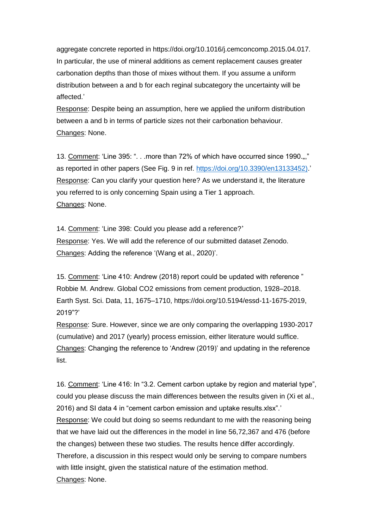aggregate concrete reported in https://doi.org/10.1016/j.cemconcomp.2015.04.017. In particular, the use of mineral additions as cement replacement causes greater carbonation depths than those of mixes without them. If you assume a uniform distribution between a and b for each reginal subcategory the uncertainty will be affected.'

Response: Despite being an assumption, here we applied the uniform distribution between a and b in terms of particle sizes not their carbonation behaviour. Changes: None.

13. Comment: 'Line 395: ". . .more than 72% of which have occurred since 1990...," as reported in other papers (See Fig. 9 in ref. [https://doi.org/10.3390/en13133452\).](https://doi.org/10.3390/en13133452))' Response: Can you clarify your question here? As we understand it, the literature you referred to is only concerning Spain using a Tier 1 approach. Changes: None.

14. Comment: 'Line 398: Could you please add a reference?' Response: Yes. We will add the reference of our submitted dataset Zenodo. Changes: Adding the reference '(Wang et al., 2020)'.

15. Comment: 'Line 410: Andrew (2018) report could be updated with reference " Robbie M. Andrew. Global CO2 emissions from cement production, 1928–2018. Earth Syst. Sci. Data, 11, 1675–1710, https://doi.org/10.5194/essd-11-1675-2019, 2019"?'

Response: Sure. However, since we are only comparing the overlapping 1930-2017 (cumulative) and 2017 (yearly) process emission, either literature would suffice. Changes: Changing the reference to 'Andrew (2019)' and updating in the reference list.

16. Comment: 'Line 416: In "3.2. Cement carbon uptake by region and material type", could you please discuss the main differences between the results given in (Xi et al., 2016) and SI data 4 in "cement carbon emission and uptake results.xlsx".' Response: We could but doing so seems redundant to me with the reasoning being that we have laid out the differences in the model in line 56,72,367 and 476 (before the changes) between these two studies. The results hence differ accordingly. Therefore, a discussion in this respect would only be serving to compare numbers with little insight, given the statistical nature of the estimation method. Changes: None.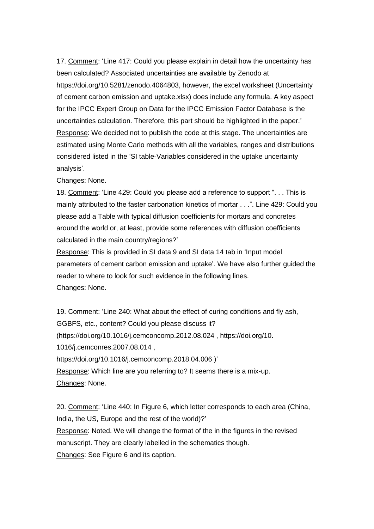17. Comment: 'Line 417: Could you please explain in detail how the uncertainty has been calculated? Associated uncertainties are available by Zenodo at https://doi.org/10.5281/zenodo.4064803, however, the excel worksheet (Uncertainty of cement carbon emission and uptake.xlsx) does include any formula. A key aspect for the IPCC Expert Group on Data for the IPCC Emission Factor Database is the uncertainties calculation. Therefore, this part should be highlighted in the paper.' Response: We decided not to publish the code at this stage. The uncertainties are estimated using Monte Carlo methods with all the variables, ranges and distributions considered listed in the 'SI table-Variables considered in the uptake uncertainty analysis'.

Changes: None.

18. Comment: 'Line 429: Could you please add a reference to support ". . . This is mainly attributed to the faster carbonation kinetics of mortar . . .". Line 429: Could you please add a Table with typical diffusion coefficients for mortars and concretes around the world or, at least, provide some references with diffusion coefficients calculated in the main country/regions?'

Response: This is provided in SI data 9 and SI data 14 tab in 'Input model parameters of cement carbon emission and uptake'. We have also further guided the reader to where to look for such evidence in the following lines. Changes: None.

19. Comment: 'Line 240: What about the effect of curing conditions and fly ash, GGBFS, etc., content? Could you please discuss it? (https://doi.org/10.1016/j.cemconcomp.2012.08.024 , https://doi.org/10. 1016/j.cemconres.2007.08.014 , https://doi.org/10.1016/j.cemconcomp.2018.04.006 )' Response: Which line are you referring to? It seems there is a mix-up. Changes: None.

20. Comment: 'Line 440: In Figure 6, which letter corresponds to each area (China, India, the US, Europe and the rest of the world)?' Response: Noted. We will change the format of the in the figures in the revised manuscript. They are clearly labelled in the schematics though. Changes: See Figure 6 and its caption.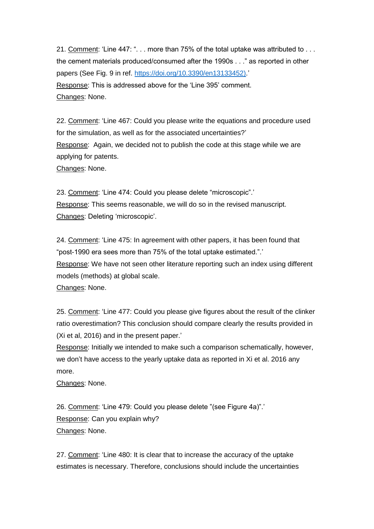21. Comment: 'Line 447: ". . . more than 75% of the total uptake was attributed to . . . the cement materials produced/consumed after the 1990s . . ." as reported in other papers (See Fig. 9 in ref. [https://doi.org/10.3390/en13133452\).](https://doi.org/10.3390/en13133452))' Response: This is addressed above for the 'Line 395' comment. Changes: None.

22. Comment: 'Line 467: Could you please write the equations and procedure used for the simulation, as well as for the associated uncertainties?' Response: Again, we decided not to publish the code at this stage while we are applying for patents. Changes: None.

23. Comment: 'Line 474: Could you please delete "microscopic".' Response: This seems reasonable, we will do so in the revised manuscript. Changes: Deleting 'microscopic'.

24. Comment: 'Line 475: In agreement with other papers, it has been found that "post-1990 era sees more than 75% of the total uptake estimated.".' Response: We have not seen other literature reporting such an index using different models (methods) at global scale. Changes: None.

25. Comment: 'Line 477: Could you please give figures about the result of the clinker ratio overestimation? This conclusion should compare clearly the results provided in (Xi et al, 2016) and in the present paper.'

Response: Initially we intended to make such a comparison schematically, however, we don't have access to the yearly uptake data as reported in Xi et al. 2016 any more.

Changes: None.

26. Comment: 'Line 479: Could you please delete "(see Figure 4a)".' Response: Can you explain whv? Changes: None.

27. Comment: 'Line 480: It is clear that to increase the accuracy of the uptake estimates is necessary. Therefore, conclusions should include the uncertainties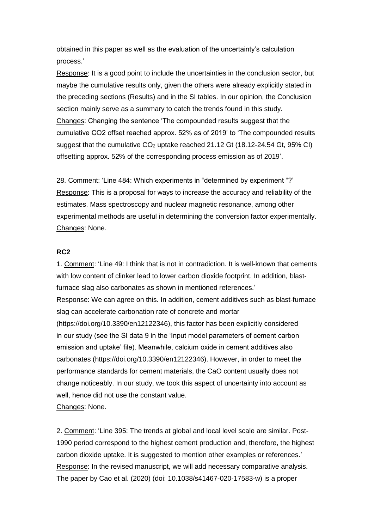obtained in this paper as well as the evaluation of the uncertainty's calculation process.'

Response: It is a good point to include the uncertainties in the conclusion sector, but maybe the cumulative results only, given the others were already explicitly stated in the preceding sections (Results) and in the SI tables. In our opinion, the Conclusion section mainly serve as a summary to catch the trends found in this study. Changes: Changing the sentence 'The compounded results suggest that the cumulative CO2 offset reached approx. 52% as of 2019' to 'The compounded results suggest that the cumulative  $CO<sub>2</sub>$  uptake reached 21.12 Gt (18.12-24.54 Gt, 95% CI) offsetting approx. 52% of the corresponding process emission as of 2019'.

28. Comment: 'Line 484: Which experiments in "determined by experiment "?' Response: This is a proposal for ways to increase the accuracy and reliability of the estimates. Mass spectroscopy and nuclear magnetic resonance, among other experimental methods are useful in determining the conversion factor experimentally. Changes: None.

## **RC2**

1. Comment: 'Line 49: I think that is not in contradiction. It is well-known that cements with low content of clinker lead to lower carbon dioxide footprint. In addition, blastfurnace slag also carbonates as shown in mentioned references.' Response: We can agree on this. In addition, cement additives such as blast-furnace slag can accelerate carbonation rate of concrete and mortar (https://doi.org/10.3390/en12122346), this factor has been explicitly considered in our study (see the SI data 9 in the 'Input model parameters of cement carbon emission and uptake' file). Meanwhile, calcium oxide in cement additives also carbonates (https://doi.org/10.3390/en12122346). However, in order to meet the performance standards for cement materials, the CaO content usually does not change noticeably. In our study, we took this aspect of uncertainty into account as well, hence did not use the constant value.

Changes: None.

2. Comment: 'Line 395: The trends at global and local level scale are similar. Post-1990 period correspond to the highest cement production and, therefore, the highest carbon dioxide uptake. It is suggested to mention other examples or references.' Response: In the revised manuscript, we will add necessary comparative analysis. The paper by Cao et al. (2020) (doi: 10.1038/s41467-020-17583-w) is a proper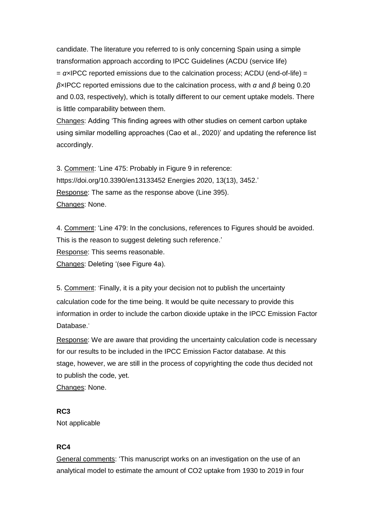candidate. The literature you referred to is only concerning Spain using a simple transformation approach according to IPCC Guidelines (ACDU (service life) = *α×*IPCC reported emissions due to the calcination process; ACDU (end-of-life) = *β×*IPCC reported emissions due to the calcination process, with *α* and *β* being 0.20 and 0.03, respectively), which is totally different to our cement uptake models. There is little comparability between them.

Changes: Adding 'This finding agrees with other studies on cement carbon uptake using similar modelling approaches (Cao et al., 2020)' and updating the reference list accordingly.

3. Comment: 'Line 475: Probably in Figure 9 in reference: https://doi.org/10.3390/en13133452 Energies 2020, 13(13), 3452.' Response: The same as the response above (Line 395). Changes: None.

4. Comment: 'Line 479: In the conclusions, references to Figures should be avoided. This is the reason to suggest deleting such reference.' Response: This seems reasonable. Changes: Deleting '(see Figure 4a).

5. Comment: 'Finally, it is a pity your decision not to publish the uncertainty calculation code for the time being. It would be quite necessary to provide this information in order to include the carbon dioxide uptake in the IPCC Emission Factor Database.'

Response: We are aware that providing the uncertainty calculation code is necessary for our results to be included in the IPCC Emission Factor database. At this stage, however, we are still in the process of copyrighting the code thus decided not to publish the code, yet. Changes: None.

## **RC3**

Not applicable

## **RC4**

General comments: 'This manuscript works on an investigation on the use of an analytical model to estimate the amount of CO2 uptake from 1930 to 2019 in four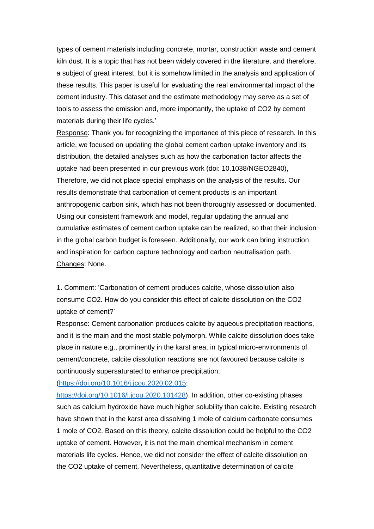types of cement materials including concrete, mortar, construction waste and cement kiln dust. It is a topic that has not been widely covered in the literature, and therefore, a subject of great interest, but it is somehow limited in the analysis and application of these results. This paper is useful for evaluating the real environmental impact of the cement industry. This dataset and the estimate methodology may serve as a set of tools to assess the emission and, more importantly, the uptake of CO2 by cement materials during their life cycles.'

Response: Thank you for recognizing the importance of this piece of research. In this article, we focused on updating the global cement carbon uptake inventory and its distribution, the detailed analyses such as how the carbonation factor affects the uptake had been presented in our previous work (doi: 10.1038/NGEO2840), Therefore, we did not place special emphasis on the analysis of the results. Our results demonstrate that carbonation of cement products is an important anthropogenic carbon sink, which has not been thoroughly assessed or documented. Using our consistent framework and model, regular updating the annual and cumulative estimates of cement carbon uptake can be realized, so that their inclusion in the global carbon budget is foreseen. Additionally, our work can bring instruction and inspiration for carbon capture technology and carbon neutralisation path. Changes: None.

1. Comment: 'Carbonation of cement produces calcite, whose dissolution also consume CO2. How do you consider this effect of calcite dissolution on the CO2 uptake of cement?'

Response: Cement carbonation produces calcite by aqueous precipitation reactions, and it is the main and the most stable polymorph. While calcite dissolution does take place in nature e.g., prominently in the karst area, in typical micro-environments of cement/concrete, calcite dissolution reactions are not favoured because calcite is continuously supersaturated to enhance precipitation.

[\(https://doi.org/10.1016/j.jcou.2020.02.015;](https://doi.org/10.1016/j.jcou.2020.02.015)

[https://doi.org/10.1016/j.jcou.2020.101428\)](https://doi.org/10.1016/j.jcou.2020.101428). In addition, other co-existing phases such as calcium hydroxide have much higher solubility than calcite. Existing research have shown that in the karst area dissolving 1 mole of calcium carbonate consumes 1 mole of CO2. Based on this theory, calcite dissolution could be helpful to the CO2 uptake of cement. However, it is not the main chemical mechanism in cement materials life cycles. Hence, we did not consider the effect of calcite dissolution on the CO2 uptake of cement. Nevertheless, quantitative determination of calcite